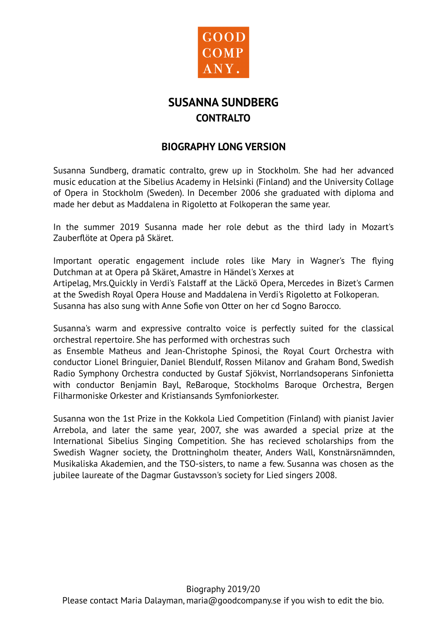

## **SUSANNA SUNDBERG CONTRALTO**

## **BIOGRAPHY LONG VERSION**

Susanna Sundberg, dramatic contralto, grew up in Stockholm. She had her advanced music education at the Sibelius Academy in Helsinki (Finland) and the University Collage of Opera in Stockholm (Sweden). In December 2006 she graduated with diploma and made her debut as Maddalena in Rigoletto at Folkoperan the same year.

In the summer 2019 Susanna made her role debut as the third lady in Mozart's Zauberflöte at Opera på Skäret.

Important operatic engagement include roles like Mary in Wagner's The flying Dutchman at at Opera på Skäret, Amastre in Händel's Xerxes at

Artipelag, Mrs.Quickly in Verdi's Falstaff at the Läckö Opera, Mercedes in Bizet's Carmen at the Swedish Royal Opera House and Maddalena in Verdi's Rigoletto at Folkoperan. Susanna has also sung with Anne Sofie von Otter on her cd Sogno Barocco.

Susanna's warm and expressive contralto voice is perfectly suited for the classical orchestral repertoire. She has performed with orchestras such

as Ensemble Matheus and Jean-Christophe Spinosi, the Royal Court Orchestra with conductor Lionel Bringuier, Daniel Blendulf, Rossen Milanov and Graham Bond, Swedish Radio Symphony Orchestra conducted by Gustaf Sjökvist, Norrlandsoperans Sinfonietta with conductor Benjamin Bayl, ReBaroque, Stockholms Baroque Orchestra, Bergen Filharmoniske Orkester and Kristiansands Symfoniorkester.

Susanna won the 1st Prize in the Kokkola Lied Competition (Finland) with pianist Javier Arrebola, and later the same year, 2007, she was awarded a special prize at the International Sibelius Singing Competition. She has recieved scholarships from the Swedish Wagner society, the Drottningholm theater, Anders Wall, Konstnärsnämnden, Musikaliska Akademien, and the TSO-sisters, to name a few. Susanna was chosen as the jubilee laureate of the Dagmar Gustavsson's society for Lied singers 2008.